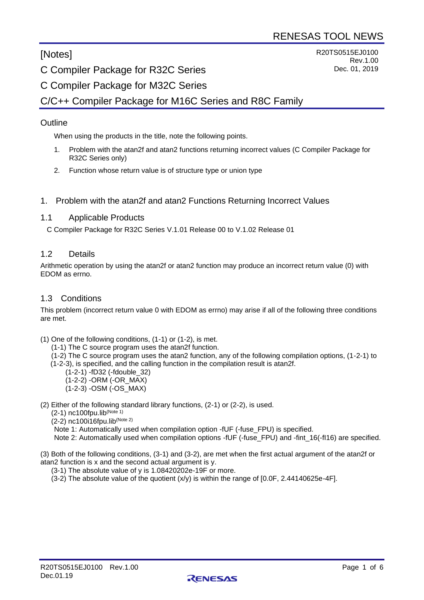# [Notes]

R20TS0515EJ0100 Rev.1.00 Dec. 01, 2019

C Compiler Package for R32C Series

# C Compiler Package for M32C Series

# C/C++ Compiler Package for M16C Series and R8C Family

## **Outline**

When using the products in the title, note the following points.

- 1. Problem with the atan2f and atan2 functions returning incorrect values (C Compiler Package for R32C Series only)
- 2. Function whose return value is of structure type or union type

#### 1. Problem with the atan2f and atan2 Functions Returning Incorrect Values

#### 1.1 Applicable Products

C Compiler Package for R32C Series V.1.01 Release 00 to V.1.02 Release 01

#### 1.2 Details

Arithmetic operation by using the atan2f or atan2 function may produce an incorrect return value (0) with EDOM as errno.

#### 1.3 Conditions

This problem (incorrect return value 0 with EDOM as errno) may arise if all of the following three conditions are met.

(1) One of the following conditions, (1-1) or (1-2), is met.

(1-1) The C source program uses the atan2f function.

 (1-2) The C source program uses the atan2 function, any of the following compilation options, (1-2-1) to (1-2-3), is specified, and the calling function in the compilation result is atan2f.

- (1-2-1) -fD32 (-fdouble\_32)
- (1-2-2) -ORM (-OR\_MAX)
- (1-2-3) -OSM (-OS\_MAX)
- (2) Either of the following standard library functions, (2-1) or (2-2), is used.

(2-1) nc100fpu.lib(Note 1)

(2-2) nc100i16fpu.lib(Note 2)

Note 1: Automatically used when compilation option -fUF (-fuse\_FPU) is specified.

Note 2: Automatically used when compilation options -fUF (-fuse FPU) and -fint 16(-fI16) are specified.

(3) Both of the following conditions, (3-1) and (3-2), are met when the first actual argument of the atan2f or atan2 function is x and the second actual argument is y.

(3-1) The absolute value of y is 1.08420202e-19F or more.

 $(3-2)$  The absolute value of the quotient  $(x/y)$  is within the range of  $[0.0F, 2.44140625e-4F]$ .

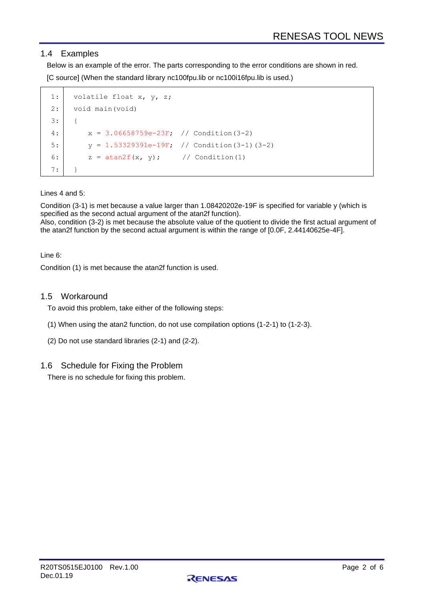## 1.4 Examples

Below is an example of the error. The parts corresponding to the error conditions are shown in red. [C source] (When the standard library nc100fpu.lib or nc100i16fpu.lib is used.)

```
1:
2:
3:
4:
5:
6:
7:
     volatile float x, y, z;
     void main(void)
     {
         x = 3.06658759e-23F; // Condition(3-2)
         y = 1.53329391e-19F; // Condition(3-1)(3-2)
         z = \text{atan2f}(x, y); // Condition(1)
     }
```
Lines 4 and 5:

Condition (3-1) is met because a value larger than 1.08420202e-19F is specified for variable y (which is specified as the second actual argument of the atan2f function).

Also, condition (3-2) is met because the absolute value of the quotient to divide the first actual argument of the atan2f function by the second actual argument is within the range of [0.0F, 2.44140625e-4F].

#### Line 6:

Condition (1) is met because the atan2f function is used.

#### 1.5 Workaround

To avoid this problem, take either of the following steps:

- (1) When using the atan2 function, do not use compilation options (1-2-1) to (1-2-3).
- (2) Do not use standard libraries (2-1) and (2-2).

## 1.6 Schedule for Fixing the Problem

There is no schedule for fixing this problem.

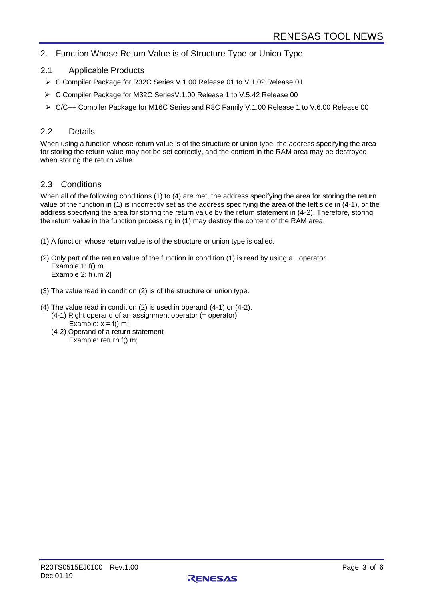# 2. Function Whose Return Value is of Structure Type or Union Type

- 2.1 Applicable Products
- ➢ C Compiler Package for R32C Series V.1.00 Release 01 to V.1.02 Release 01
- ➢ C Compiler Package for M32C SeriesV.1.00 Release 1 to V.5.42 Release 00
- ➢ C/C++ Compiler Package for M16C Series and R8C Family V.1.00 Release 1 to V.6.00 Release 00

#### 2.2 Details

When using a function whose return value is of the structure or union type, the address specifying the area for storing the return value may not be set correctly, and the content in the RAM area may be destroyed when storing the return value.

## 2.3 Conditions

When all of the following conditions (1) to (4) are met, the address specifying the area for storing the return value of the function in (1) is incorrectly set as the address specifying the area of the left side in (4-1), or the address specifying the area for storing the return value by the return statement in (4-2). Therefore, storing the return value in the function processing in (1) may destroy the content of the RAM area.

- (1) A function whose return value is of the structure or union type is called.
- (2) Only part of the return value of the function in condition (1) is read by using a . operator. Example 1: f().m Example 2: f().m[2]
- (3) The value read in condition (2) is of the structure or union type.
- (4) The value read in condition (2) is used in operand (4-1) or (4-2). (4-1) Right operand of an assignment operator (= operator)
	- Example:  $x = f($ ).m;
	- (4-2) Operand of a return statement Example: return f().m;

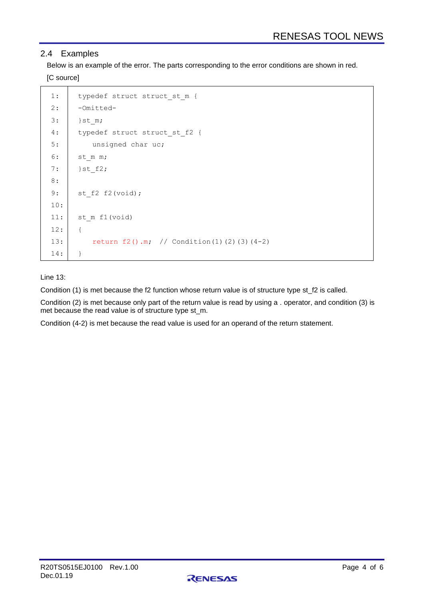## 2.4 Examples

Below is an example of the error. The parts corresponding to the error conditions are shown in red. [C source]

```
1:
2:
3:
4:
5:
6:
7:
8:
9:
10:
11:
12:
13:
14:
       typedef struct struct_st_m {
       -Omitted-
      }st_m;
      typedef struct struct st f2 {
           unsigned char uc;
      st_m m;
      }st_f2;
      st f2 f2(void);
      st_m_f1(void)
       {
          return f(2), m; // Condition(1)(2)(3)(4-2)
       }
```
#### Line 13:

Condition (1) is met because the f2 function whose return value is of structure type st\_f2 is called.

Condition (2) is met because only part of the return value is read by using a . operator, and condition (3) is met because the read value is of structure type st\_m.

Condition (4-2) is met because the read value is used for an operand of the return statement.

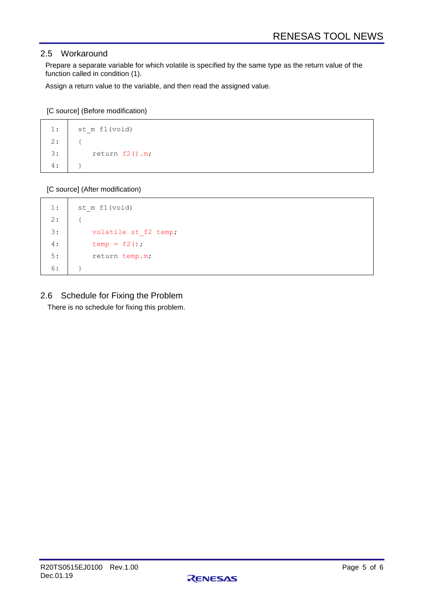## 2.5 Workaround

Prepare a separate variable for which volatile is specified by the same type as the return value of the function called in condition (1).

Assign a return value to the variable, and then read the assigned value.

[C source] (Before modification)

```
1:
2:
3:
4:
       st m f1(void)
       {
            return f2().m;
       }
```
[C source] (After modification)

```
1:
2:
3:
4:
5:
6:
       st_m_f1(void)
       {
           volatile st_f2 temp;
          temp = f2();
           return temp.m;
       }
```
2.6 Schedule for Fixing the Problem

There is no schedule for fixing this problem.